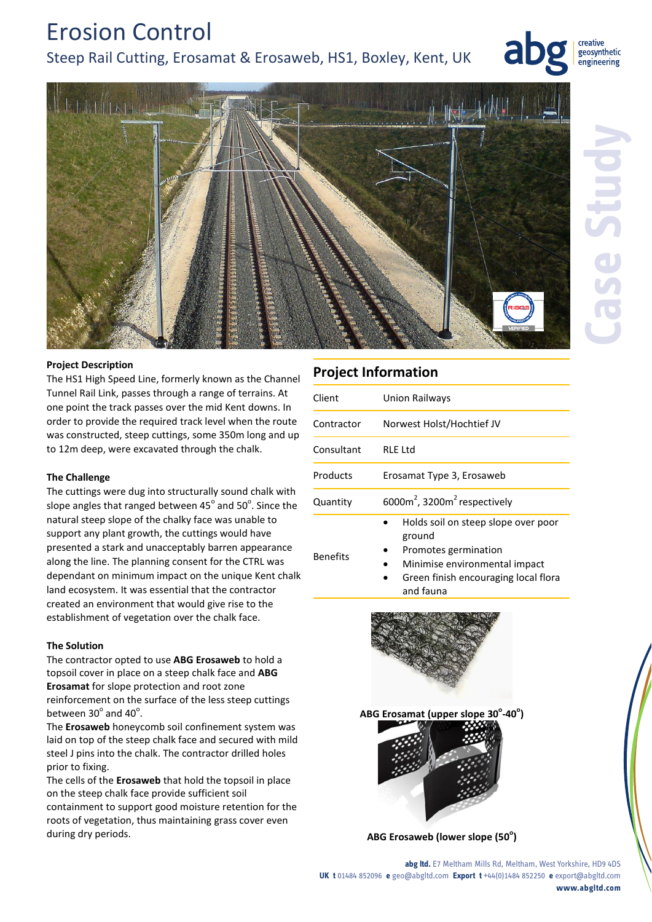## Erosion Control Steep Rail Cutting, Erosamat & Erosaweb, HS1, Boxley, Kent, UK





### **Project Description**

The HS1 High Speed Line, formerly known as the Channel Tunnel Rail Link, passes through a range of terrains. At one point the track passes over the mid Kent downs. In order to provide the required track level when the route was constructed, steep cuttings, some 350m long and up to 12m deep, were excavated through the chalk.

## **The Challenge**

The cuttings were dug into structurally sound chalk with slope angles that ranged between 45 $^{\circ}$  and 50 $^{\circ}$ . Since the natural steep slope of the chalky face was unable to support any plant growth, the cuttings would have presented a stark and unacceptably barren appearance along the line. The planning consent for the CTRL was dependant on minimum impact on the unique Kent chalk land ecosystem. It was essential that the contractor created an environment that would give rise to the establishment of vegetation over the chalk face.

## **The Solution**

The contractor opted to use **ABG Erosaweb** to hold a topsoil cover in place on a steep chalk face and **ABG Erosamat** for slope protection and root zone reinforcement on the surface of the less steep cuttings between  $30^{\circ}$  and  $40^{\circ}$ .

The **Erosaweb** honeycomb soil confinement system was laid on top of the steep chalk face and secured with mild steel J pins into the chalk. The contractor drilled holes prior to fixing.

The cells of the **Erosaweb** that hold the topsoil in place on the steep chalk face provide sufficient soil containment to support good moisture retention for the roots of vegetation, thus maintaining grass cover even during dry periods.

## **Project Information**

| Client          | Union Railways                                                                                                                        |
|-----------------|---------------------------------------------------------------------------------------------------------------------------------------|
| Contractor      | Norwest Holst/Hochtief JV                                                                                                             |
| Consultant      | <b>RLE Ltd</b>                                                                                                                        |
| Products        | Erosamat Type 3, Erosaweb                                                                                                             |
| Quantity        | $6000m^2$ , 3200 $m^2$ respectively                                                                                                   |
| <b>Benefits</b> | Holds soil on steep slope over poor<br>ground<br>Promotes germination<br>Minimise environmental impact<br>$\sim$ $\sim$ $\sim$ $\sim$ |

 Green finish encouraging local flora and fauna



**ABG Erosaweb (lower slope (50 o )**

**abg ltd.** E7 Meltham Mills Rd, Meltham, West Yorkshire, HD9 4DS **UK t** 01484 852096 **e** geo@abgltd.com **Export t** +44(0)1484 852250 **e** export@abgltd.com **www.abgltd.com**